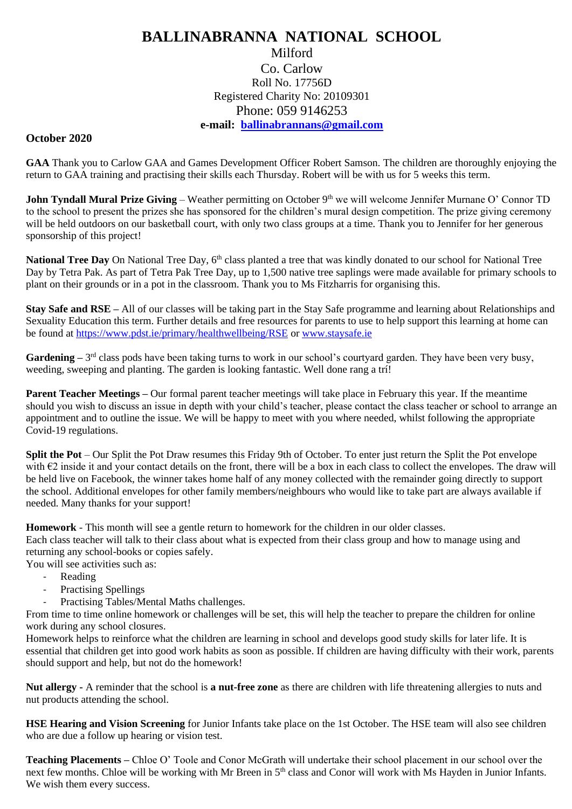## **BALLINABRANNA NATIONAL SCHOOL** Milford Co. Carlow Roll No. 17756D Registered Charity No: 20109301 Phone: 059 9146253 **e-mail: [ballinabrannans@gmail.com](mailto:ballinabrannans@gmail.com)**

## **October 2020**

**GAA** Thank you to Carlow GAA and Games Development Officer Robert Samson. The children are thoroughly enjoying the return to GAA training and practising their skills each Thursday. Robert will be with us for 5 weeks this term.

**John Tyndall Mural Prize Giving** – Weather permitting on October 9<sup>th</sup> we will welcome Jennifer Murnane O' Connor TD to the school to present the prizes she has sponsored for the children's mural design competition. The prize giving ceremony will be held outdoors on our basketball court, with only two class groups at a time. Thank you to Jennifer for her generous sponsorship of this project!

**National Tree Day** On National Tree Day, 6<sup>th</sup> class planted a tree that was kindly donated to our school for National Tree Day by Tetra Pak. As part of Tetra Pak Tree Day, up to 1,500 native tree saplings were made available for primary schools to plant on their grounds or in a pot in the classroom. Thank you to Ms Fitzharris for organising this.

**Stay Safe and RSE –** All of our classes will be taking part in the Stay Safe programme and learning about Relationships and Sexuality Education this term. Further details and free resources for parents to use to help support this learning at home can be found at<https://www.pdst.ie/primary/healthwellbeing/RSE> or www.staysafe.ie

**Gardening**  $-3^{rd}$  class pods have been taking turns to work in our school's courtyard garden. They have been very busy, weeding, sweeping and planting. The garden is looking fantastic. Well done rang a trí!

**Parent Teacher Meetings –** Our formal parent teacher meetings will take place in February this year. If the meantime should you wish to discuss an issue in depth with your child's teacher, please contact the class teacher or school to arrange an appointment and to outline the issue. We will be happy to meet with you where needed, whilst following the appropriate Covid-19 regulations.

**Split the Pot** – Our Split the Pot Draw resumes this Friday 9th of October. To enter just return the Split the Pot envelope with €2 inside it and your contact details on the front, there will be a box in each class to collect the envelopes. The draw will be held live on Facebook, the winner takes home half of any money collected with the remainder going directly to support the school. Additional envelopes for other family members/neighbours who would like to take part are always available if needed. Many thanks for your support!

**Homework** - This month will see a gentle return to homework for the children in our older classes. Each class teacher will talk to their class about what is expected from their class group and how to manage using and returning any school-books or copies safely.

You will see activities such as:

- **Reading**
- Practising Spellings
- Practising Tables/Mental Maths challenges.

From time to time online homework or challenges will be set, this will help the teacher to prepare the children for online work during any school closures.

Homework helps to reinforce what the children are learning in school and develops good study skills for later life. It is essential that children get into good work habits as soon as possible. If children are having difficulty with their work, parents should support and help, but not do the homework!

**Nut allergy -** A reminder that the school is **a nut-free zone** as there are children with life threatening allergies to nuts and nut products attending the school.

**HSE Hearing and Vision Screening** for Junior Infants take place on the 1st October. The HSE team will also see children who are due a follow up hearing or vision test.

**Teaching Placements –** Chloe O' Toole and Conor McGrath will undertake their school placement in our school over the next few months. Chloe will be working with Mr Breen in 5<sup>th</sup> class and Conor will work with Ms Hayden in Junior Infants. We wish them every success.